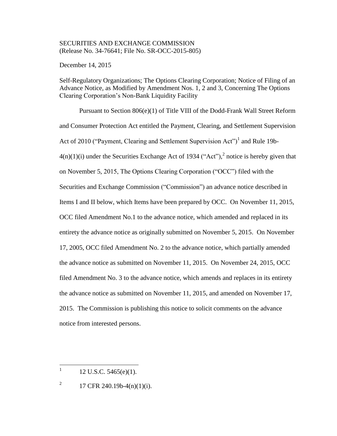## SECURITIES AND EXCHANGE COMMISSION (Release No. 34-76641; File No. SR-OCC-2015-805)

December 14, 2015

Self-Regulatory Organizations; The Options Clearing Corporation; Notice of Filing of an Advance Notice, as Modified by Amendment Nos. 1, 2 and 3, Concerning The Options Clearing Corporation's Non-Bank Liquidity Facility

Pursuant to Section 806(e)(1) of Title VIII of the Dodd-Frank Wall Street Reform and Consumer Protection Act entitled the Payment, Clearing, and Settlement Supervision Act of 2010 ("Payment, Clearing and Settlement Supervision Act")<sup>1</sup> and Rule 19b- $4(n)(1)(i)$  under the Securities Exchange Act of 1934 ("Act"),<sup>2</sup> notice is hereby given that on November 5, 2015, The Options Clearing Corporation ("OCC") filed with the Securities and Exchange Commission ("Commission") an advance notice described in Items I and II below, which Items have been prepared by OCC. On November 11, 2015, OCC filed Amendment No.1 to the advance notice, which amended and replaced in its entirety the advance notice as originally submitted on November 5, 2015. On November 17, 2005, OCC filed Amendment No. 2 to the advance notice, which partially amended the advance notice as submitted on November 11, 2015. On November 24, 2015, OCC filed Amendment No. 3 to the advance notice, which amends and replaces in its entirety the advance notice as submitted on November 11, 2015, and amended on November 17, 2015. The Commission is publishing this notice to solicit comments on the advance notice from interested persons.

 $\frac{1}{1}$ 12 U.S.C. 5465(e)(1).

<sup>2</sup> 17 CFR 240.19b-4(n)(1)(i).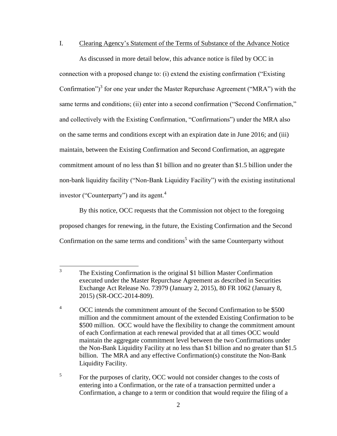### I. Clearing Agency's Statement of the Terms of Substance of the Advance Notice

As discussed in more detail below, this advance notice is filed by OCC in connection with a proposed change to: (i) extend the existing confirmation ("Existing Confirmation")<sup>3</sup> for one year under the Master Repurchase Agreement ("MRA") with the same terms and conditions; (ii) enter into a second confirmation ("Second Confirmation," and collectively with the Existing Confirmation, "Confirmations") under the MRA also on the same terms and conditions except with an expiration date in June 2016; and (iii) maintain, between the Existing Confirmation and Second Confirmation, an aggregate commitment amount of no less than \$1 billion and no greater than \$1.5 billion under the non-bank liquidity facility ("Non-Bank Liquidity Facility") with the existing institutional investor ("Counterparty") and its agent. $4$ 

By this notice, OCC requests that the Commission not object to the foregoing proposed changes for renewing, in the future, the Existing Confirmation and the Second Confirmation on the same terms and conditions<sup>5</sup> with the same Counterparty without

5 For the purposes of clarity, OCC would not consider changes to the costs of entering into a Confirmation, or the rate of a transaction permitted under a Confirmation, a change to a term or condition that would require the filing of a

 $\frac{1}{3}$ The Existing Confirmation is the original \$1 billion Master Confirmation executed under the Master Repurchase Agreement as described in Securities Exchange Act Release No. 73979 (January 2, 2015), 80 FR 1062 (January 8, 2015) (SR-OCC-2014-809).

<sup>&</sup>lt;sup>4</sup> OCC intends the commitment amount of the Second Confirmation to be \$500 million and the commitment amount of the extended Existing Confirmation to be \$500 million. OCC would have the flexibility to change the commitment amount of each Confirmation at each renewal provided that at all times OCC would maintain the aggregate commitment level between the two Confirmations under the Non-Bank Liquidity Facility at no less than \$1 billion and no greater than \$1.5 billion. The MRA and any effective Confirmation(s) constitute the Non-Bank Liquidity Facility.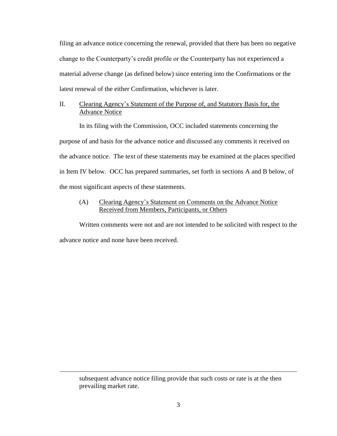filing an advance notice concerning the renewal, provided that there has been no negative change to the Counterparty's credit profile or the Counterparty has not experienced a material adverse change (as defined below) since entering into the Confirmations or the latest renewal of the either Confirmation, whichever is later.

# II. Clearing Agency's Statement of the Purpose of, and Statutory Basis for, the Advance Notice

In its filing with the Commission, OCC included statements concerning the purpose of and basis for the advance notice and discussed any comments it received on the advance notice. The text of these statements may be examined at the places specified in Item IV below. OCC has prepared summaries, set forth in sections A and B below, of the most significant aspects of these statements.

# (A) Clearing Agency's Statement on Comments on the Advance Notice Received from Members, Participants, or Others

Written comments were not and are not intended to be solicited with respect to the advance notice and none have been received.

 $\overline{\phantom{a}}$ 

subsequent advance notice filing provide that such costs or rate is at the then prevailing market rate.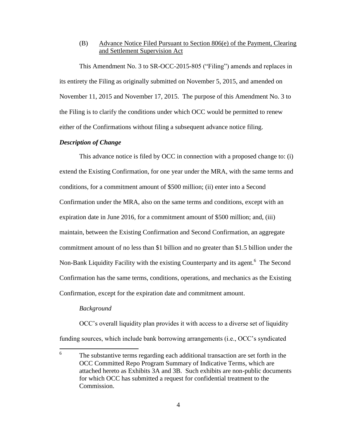# (B) Advance Notice Filed Pursuant to Section 806(e) of the Payment, Clearing and Settlement Supervision Act

This Amendment No. 3 to SR-OCC-2015-805 ("Filing") amends and replaces in its entirety the Filing as originally submitted on November 5, 2015, and amended on November 11, 2015 and November 17, 2015. The purpose of this Amendment No. 3 to the Filing is to clarify the conditions under which OCC would be permitted to renew either of the Confirmations without filing a subsequent advance notice filing.

## *Description of Change*

This advance notice is filed by OCC in connection with a proposed change to: (i) extend the Existing Confirmation, for one year under the MRA, with the same terms and conditions, for a commitment amount of \$500 million; (ii) enter into a Second Confirmation under the MRA, also on the same terms and conditions, except with an expiration date in June 2016, for a commitment amount of \$500 million; and, (iii) maintain, between the Existing Confirmation and Second Confirmation, an aggregate commitment amount of no less than \$1 billion and no greater than \$1.5 billion under the Non-Bank Liquidity Facility with the existing Counterparty and its agent.<sup>6</sup> The Second Confirmation has the same terms, conditions, operations, and mechanics as the Existing Confirmation, except for the expiration date and commitment amount.

## *Background*

OCC's overall liquidity plan provides it with access to a diverse set of liquidity funding sources, which include bank borrowing arrangements (i.e., OCC's syndicated

 6 The substantive terms regarding each additional transaction are set forth in the OCC Committed Repo Program Summary of Indicative Terms, which are attached hereto as Exhibits 3A and 3B. Such exhibits are non-public documents for which OCC has submitted a request for confidential treatment to the Commission.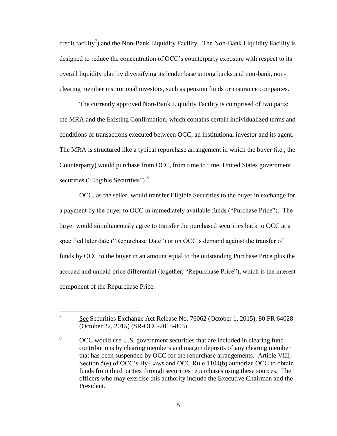credit facility<sup>7</sup>) and the Non-Bank Liquidity Facility. The Non-Bank Liquidity Facility is designed to reduce the concentration of OCC's counterparty exposure with respect to its overall liquidity plan by diversifying its lender base among banks and non-bank, nonclearing member institutional investors, such as pension funds or insurance companies.

The currently approved Non-Bank Liquidity Facility is comprised of two parts: the MRA and the Existing Confirmation, which contains certain individualized terms and conditions of transactions executed between OCC, an institutional investor and its agent. The MRA is structured like a typical repurchase arrangement in which the buyer (i.e., the Counterparty) would purchase from OCC, from time to time, United States government securities ("Eligible Securities").<sup>8</sup>

OCC, as the seller, would transfer Eligible Securities to the buyer in exchange for a payment by the buyer to OCC in immediately available funds ("Purchase Price"). The buyer would simultaneously agree to transfer the purchased securities back to OCC at a specified later date ("Repurchase Date") or on OCC's demand against the transfer of funds by OCC to the buyer in an amount equal to the outstanding Purchase Price plus the accrued and unpaid price differential (together, "Repurchase Price"), which is the interest component of the Repurchase Price.

<sup>7</sup> See Securities Exchange Act Release No. 76062 (October 1, 2015), 80 FR 64028 (October 22, 2015) (SR-OCC-2015-803).

<sup>&</sup>lt;sup>8</sup> OCC would use U.S. government securities that are included in clearing fund contributions by clearing members and margin deposits of any clearing member that has been suspended by OCC for the repurchase arrangements. Article VIII, Section 5(e) of OCC's By-Laws and OCC Rule 1104(b) authorize OCC to obtain funds from third parties through securities repurchases using these sources. The officers who may exercise this authority include the Executive Chairman and the President.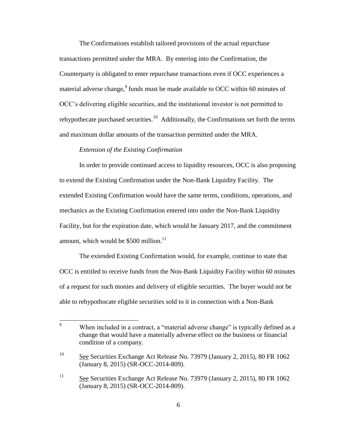The Confirmations establish tailored provisions of the actual repurchase transactions permitted under the MRA. By entering into the Confirmation, the Counterparty is obligated to enter repurchase transactions even if OCC experiences a material adverse change, <sup>9</sup> funds must be made available to OCC within 60 minutes of OCC's delivering eligible securities, and the institutional investor is not permitted to rehypothecate purchased securities.<sup>10</sup> Additionally, the Confirmations set forth the terms and maximum dollar amounts of the transaction permitted under the MRA.

# *Extension of the Existing Confirmation*

In order to provide continued access to liquidity resources, OCC is also proposing to extend the Existing Confirmation under the Non-Bank Liquidity Facility. The extended Existing Confirmation would have the same terms, conditions, operations, and mechanics as the Existing Confirmation entered into under the Non-Bank Liquidity Facility, but for the expiration date, which would be January 2017, and the commitment amount, which would be  $$500$  million.<sup>11</sup>

The extended Existing Confirmation would, for example, continue to state that OCC is entitled to receive funds from the Non-Bank Liquidity Facility within 60 minutes of a request for such monies and delivery of eligible securities. The buyer would not be able to rehypothocate eligible securities sold to it in connection with a Non-Bank

 $\overline{9}$ When included in a contract, a "material adverse change" is typically defined as a change that would have a materially adverse effect on the business or financial condition of a company.

 $\frac{10}{2}$  See Securities Exchange Act Release No. 73979 (January 2, 2015), 80 FR 1062 (January 8, 2015) (SR-OCC-2014-809).

<sup>&</sup>lt;sup>11</sup> See Securities Exchange Act Release No. 73979 (January 2, 2015), 80 FR 1062 (January 8, 2015) (SR-OCC-2014-809).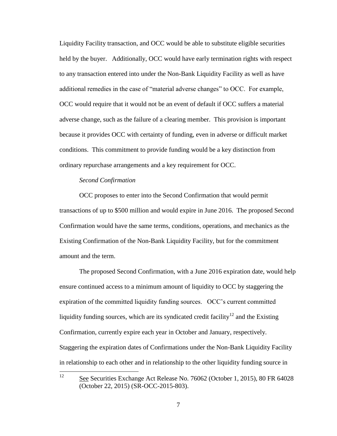Liquidity Facility transaction, and OCC would be able to substitute eligible securities held by the buyer. Additionally, OCC would have early termination rights with respect to any transaction entered into under the Non-Bank Liquidity Facility as well as have additional remedies in the case of "material adverse changes" to OCC. For example, OCC would require that it would not be an event of default if OCC suffers a material adverse change, such as the failure of a clearing member. This provision is important because it provides OCC with certainty of funding, even in adverse or difficult market conditions. This commitment to provide funding would be a key distinction from ordinary repurchase arrangements and a key requirement for OCC.

## *Second Confirmation*

OCC proposes to enter into the Second Confirmation that would permit transactions of up to \$500 million and would expire in June 2016. The proposed Second Confirmation would have the same terms, conditions, operations, and mechanics as the Existing Confirmation of the Non-Bank Liquidity Facility, but for the commitment amount and the term.

The proposed Second Confirmation, with a June 2016 expiration date, would help ensure continued access to a minimum amount of liquidity to OCC by staggering the expiration of the committed liquidity funding sources. OCC's current committed liquidity funding sources, which are its syndicated credit facility<sup>12</sup> and the Existing Confirmation, currently expire each year in October and January, respectively. Staggering the expiration dates of Confirmations under the Non-Bank Liquidity Facility in relationship to each other and in relationship to the other liquidity funding source in

12

See Securities Exchange Act Release No. 76062 (October 1, 2015), 80 FR 64028 (October 22, 2015) (SR-OCC-2015-803).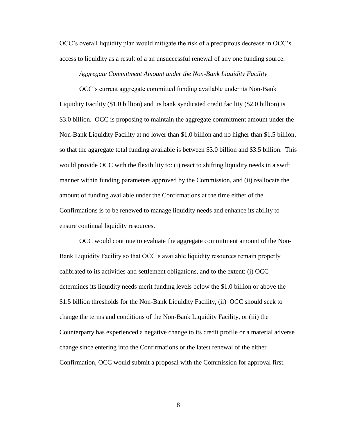OCC's overall liquidity plan would mitigate the risk of a precipitous decrease in OCC's access to liquidity as a result of a an unsuccessful renewal of any one funding source.

#### *Aggregate Commitment Amount under the Non-Bank Liquidity Facility*

OCC's current aggregate committed funding available under its Non-Bank Liquidity Facility (\$1.0 billion) and its bank syndicated credit facility (\$2.0 billion) is \$3.0 billion. OCC is proposing to maintain the aggregate commitment amount under the Non-Bank Liquidity Facility at no lower than \$1.0 billion and no higher than \$1.5 billion, so that the aggregate total funding available is between \$3.0 billion and \$3.5 billion. This would provide OCC with the flexibility to: (i) react to shifting liquidity needs in a swift manner within funding parameters approved by the Commission, and (ii) reallocate the amount of funding available under the Confirmations at the time either of the Confirmations is to be renewed to manage liquidity needs and enhance its ability to ensure continual liquidity resources.

OCC would continue to evaluate the aggregate commitment amount of the Non-Bank Liquidity Facility so that OCC's available liquidity resources remain properly calibrated to its activities and settlement obligations, and to the extent: (i) OCC determines its liquidity needs merit funding levels below the \$1.0 billion or above the \$1.5 billion thresholds for the Non-Bank Liquidity Facility, (ii) OCC should seek to change the terms and conditions of the Non-Bank Liquidity Facility, or (iii) the Counterparty has experienced a negative change to its credit profile or a material adverse change since entering into the Confirmations or the latest renewal of the either Confirmation, OCC would submit a proposal with the Commission for approval first.

8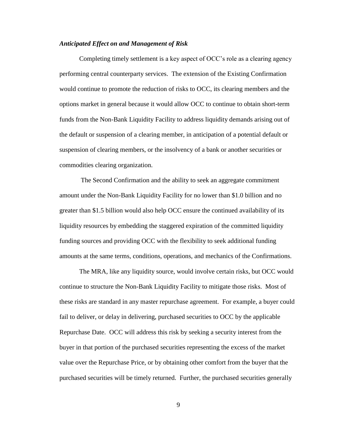### *Anticipated Effect on and Management of Risk*

Completing timely settlement is a key aspect of OCC's role as a clearing agency performing central counterparty services. The extension of the Existing Confirmation would continue to promote the reduction of risks to OCC, its clearing members and the options market in general because it would allow OCC to continue to obtain short-term funds from the Non-Bank Liquidity Facility to address liquidity demands arising out of the default or suspension of a clearing member, in anticipation of a potential default or suspension of clearing members, or the insolvency of a bank or another securities or commodities clearing organization.

The Second Confirmation and the ability to seek an aggregate commitment amount under the Non-Bank Liquidity Facility for no lower than \$1.0 billion and no greater than \$1.5 billion would also help OCC ensure the continued availability of its liquidity resources by embedding the staggered expiration of the committed liquidity funding sources and providing OCC with the flexibility to seek additional funding amounts at the same terms, conditions, operations, and mechanics of the Confirmations.

The MRA, like any liquidity source, would involve certain risks, but OCC would continue to structure the Non-Bank Liquidity Facility to mitigate those risks. Most of these risks are standard in any master repurchase agreement. For example, a buyer could fail to deliver, or delay in delivering, purchased securities to OCC by the applicable Repurchase Date. OCC will address this risk by seeking a security interest from the buyer in that portion of the purchased securities representing the excess of the market value over the Repurchase Price, or by obtaining other comfort from the buyer that the purchased securities will be timely returned. Further, the purchased securities generally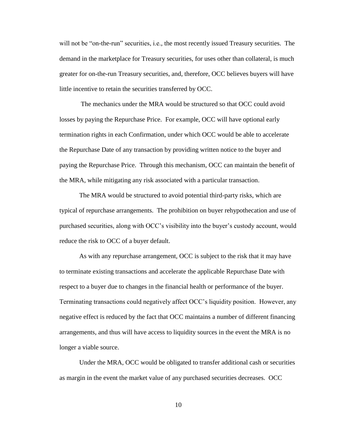will not be "on-the-run" securities, i.e., the most recently issued Treasury securities. The demand in the marketplace for Treasury securities, for uses other than collateral, is much greater for on-the-run Treasury securities, and, therefore, OCC believes buyers will have little incentive to retain the securities transferred by OCC.

The mechanics under the MRA would be structured so that OCC could avoid losses by paying the Repurchase Price. For example, OCC will have optional early termination rights in each Confirmation, under which OCC would be able to accelerate the Repurchase Date of any transaction by providing written notice to the buyer and paying the Repurchase Price. Through this mechanism, OCC can maintain the benefit of the MRA, while mitigating any risk associated with a particular transaction.

The MRA would be structured to avoid potential third-party risks, which are typical of repurchase arrangements. The prohibition on buyer rehypothecation and use of purchased securities, along with OCC's visibility into the buyer's custody account, would reduce the risk to OCC of a buyer default.

As with any repurchase arrangement, OCC is subject to the risk that it may have to terminate existing transactions and accelerate the applicable Repurchase Date with respect to a buyer due to changes in the financial health or performance of the buyer. Terminating transactions could negatively affect OCC's liquidity position. However, any negative effect is reduced by the fact that OCC maintains a number of different financing arrangements, and thus will have access to liquidity sources in the event the MRA is no longer a viable source.

Under the MRA, OCC would be obligated to transfer additional cash or securities as margin in the event the market value of any purchased securities decreases. OCC

10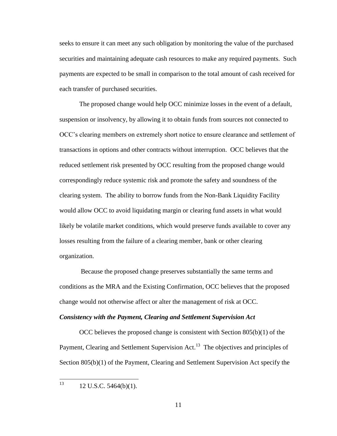seeks to ensure it can meet any such obligation by monitoring the value of the purchased securities and maintaining adequate cash resources to make any required payments. Such payments are expected to be small in comparison to the total amount of cash received for each transfer of purchased securities.

The proposed change would help OCC minimize losses in the event of a default, suspension or insolvency, by allowing it to obtain funds from sources not connected to OCC's clearing members on extremely short notice to ensure clearance and settlement of transactions in options and other contracts without interruption. OCC believes that the reduced settlement risk presented by OCC resulting from the proposed change would correspondingly reduce systemic risk and promote the safety and soundness of the clearing system. The ability to borrow funds from the Non-Bank Liquidity Facility would allow OCC to avoid liquidating margin or clearing fund assets in what would likely be volatile market conditions, which would preserve funds available to cover any losses resulting from the failure of a clearing member, bank or other clearing organization.

Because the proposed change preserves substantially the same terms and conditions as the MRA and the Existing Confirmation, OCC believes that the proposed change would not otherwise affect or alter the management of risk at OCC.

#### *Consistency with the Payment, Clearing and Settlement Supervision Act*

OCC believes the proposed change is consistent with Section  $805(b)(1)$  of the Payment, Clearing and Settlement Supervision Act.<sup>13</sup> The objectives and principles of Section 805(b)(1) of the Payment, Clearing and Settlement Supervision Act specify the

13 <sup>13</sup> 12 U.S.C. 5464(b)(1).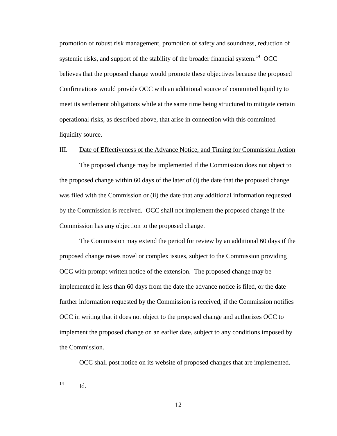promotion of robust risk management, promotion of safety and soundness, reduction of systemic risks, and support of the stability of the broader financial system.<sup>14</sup> OCC believes that the proposed change would promote these objectives because the proposed Confirmations would provide OCC with an additional source of committed liquidity to meet its settlement obligations while at the same time being structured to mitigate certain operational risks, as described above, that arise in connection with this committed liquidity source.

#### III. Date of Effectiveness of the Advance Notice, and Timing for Commission Action

The proposed change may be implemented if the Commission does not object to the proposed change within 60 days of the later of (i) the date that the proposed change was filed with the Commission or (ii) the date that any additional information requested by the Commission is received. OCC shall not implement the proposed change if the Commission has any objection to the proposed change.

The Commission may extend the period for review by an additional 60 days if the proposed change raises novel or complex issues, subject to the Commission providing OCC with prompt written notice of the extension. The proposed change may be implemented in less than 60 days from the date the advance notice is filed, or the date further information requested by the Commission is received, if the Commission notifies OCC in writing that it does not object to the proposed change and authorizes OCC to implement the proposed change on an earlier date, subject to any conditions imposed by the Commission.

OCC shall post notice on its website of proposed changes that are implemented.

 $14$ Id.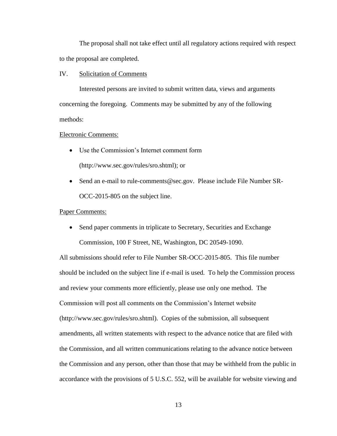The proposal shall not take effect until all regulatory actions required with respect to the proposal are completed.

#### IV. Solicitation of Comments

Interested persons are invited to submit written data, views and arguments concerning the foregoing. Comments may be submitted by any of the following methods:

## Electronic Comments:

- Use the Commission's Internet comment form (http://www.sec.gov/rules/sro.shtml); or
- Send an e-mail to rule-comments@sec.gov. Please include File Number SR-OCC-2015-805 on the subject line.

### Paper Comments:

• Send paper comments in triplicate to Secretary, Securities and Exchange Commission, 100 F Street, NE, Washington, DC 20549-1090.

All submissions should refer to File Number SR-OCC-2015-805. This file number should be included on the subject line if e-mail is used. To help the Commission process and review your comments more efficiently, please use only one method. The Commission will post all comments on the Commission's Internet website (http://www.sec.gov/rules/sro.shtml). Copies of the submission, all subsequent amendments, all written statements with respect to the advance notice that are filed with the Commission, and all written communications relating to the advance notice between the Commission and any person, other than those that may be withheld from the public in accordance with the provisions of 5 U.S.C. 552, will be available for website viewing and